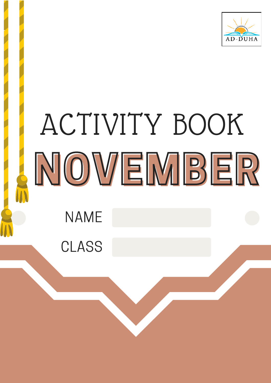

# ACTIVITY BOOK NOVEMBER NAME

CLASS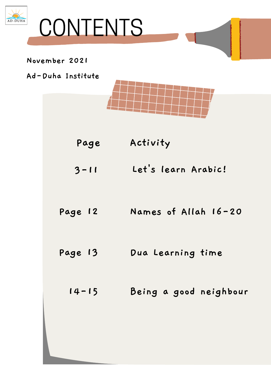



#### **November 2021**

- **Page Activity**
- **Let' s learn Arabic! 3-11**
- **Names of Allah 16-20 Page 12**
- **Dua Learning time Page 13**
	- **Being a good neighbour 14-15**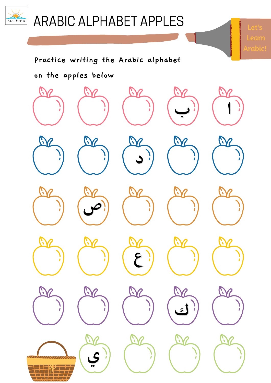

### ARABIC ALPHABET APPLES

Learn

Arabic!

#### **Practice writing the Arabic alphabet**

#### **on the apples below**

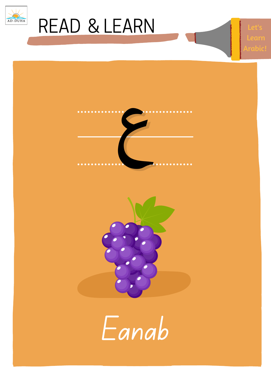

Let'





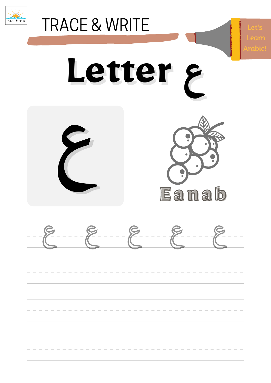

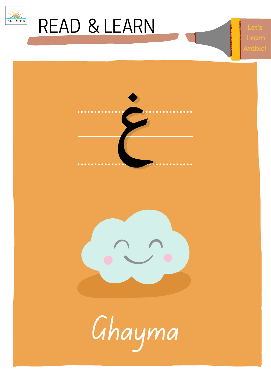

Let': Learr rah





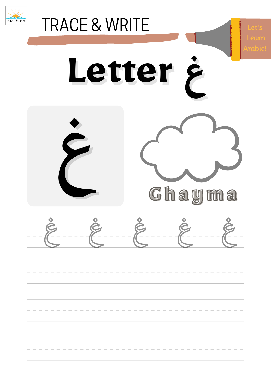

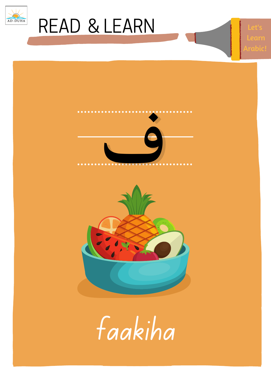

Let'





faakiha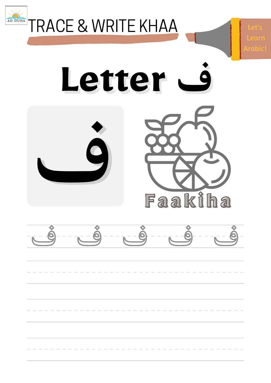

**TRACE & WRITE KHAA** 

Letter Q Faakiha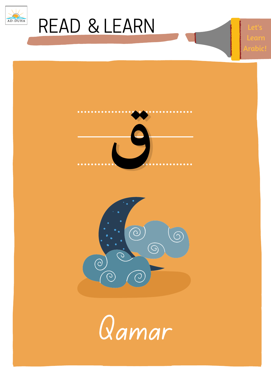

Let': Learr rab





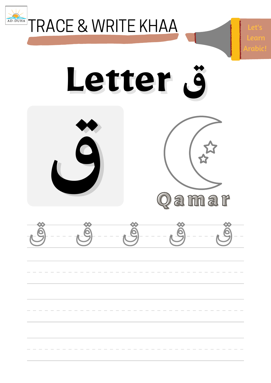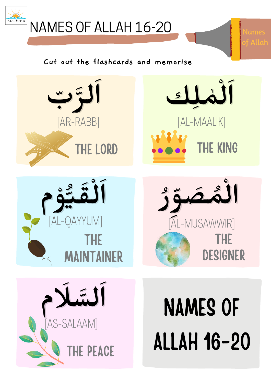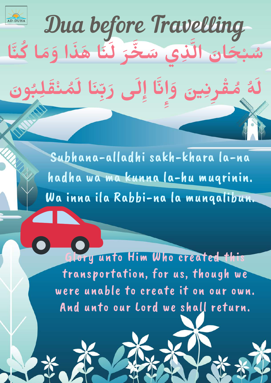

Dua before Travelling

**َلى ِإ ا َّن**

**َّخ ِذي َس َّل ا**

**ِإ َو**

**َن**

**ي ِرِن**

**سُبْحَار**َ<br>م

**ُه ُم**

**َل**

**ْق**

**ا ُكَّنا**

المراجع

**و**

**َو َم َهَذا ا**

**ُب ُم ْنَق ِل ا َل**

**َن َل**

**َر**

رب<u>.</u><br>. **رَ دِ** 

**َر**

Glory unto Him Who created this transportation, for us, though we were unable to create it on our own. And unto our Lord we shall return.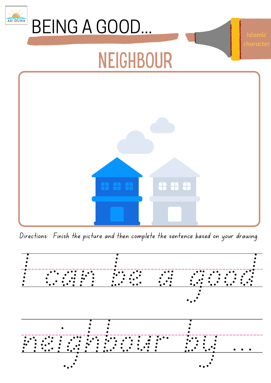

Directions: Finish the picture and then complete the sentence based on your drawing.